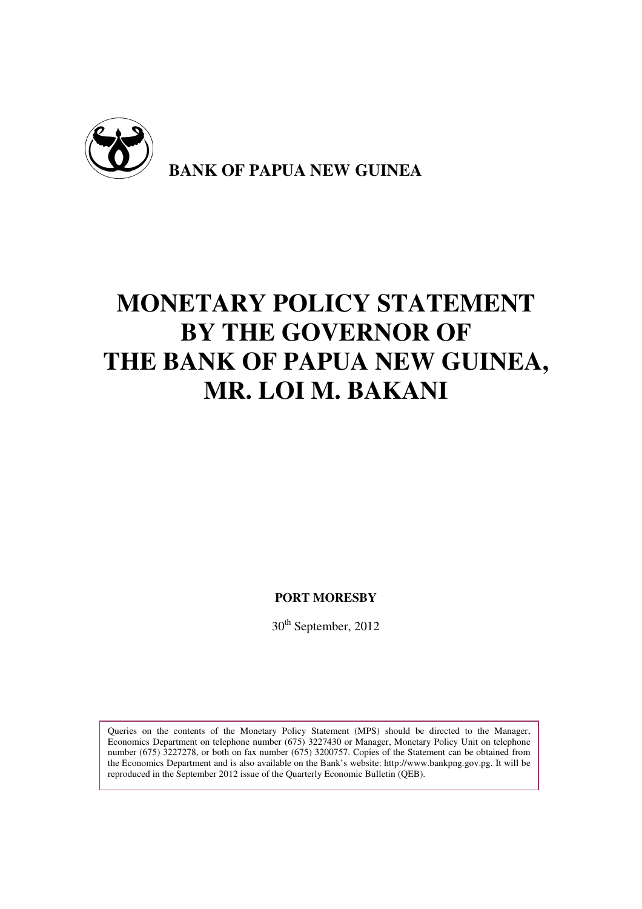

# **MONETARY POLICY STATEMENT BY THE GOVERNOR OF THE BANK OF PAPUA NEW GUINEA, MR. LOI M. BAKANI**

**PORT MORESBY** 

30<sup>th</sup> September, 2012

Queries on the contents of the Monetary Policy Statement (MPS) should be directed to the Manager, Economics Department on telephone number (675) 3227430 or Manager, Monetary Policy Unit on telephone number (675) 3227278, or both on fax number (675) 3200757. Copies of the Statement can be obtained from the Economics Department and is also available on the Bank's website: http://www.bankpng.gov.pg. It will be reproduced in the September 2012 issue of the Quarterly Economic Bulletin (QEB).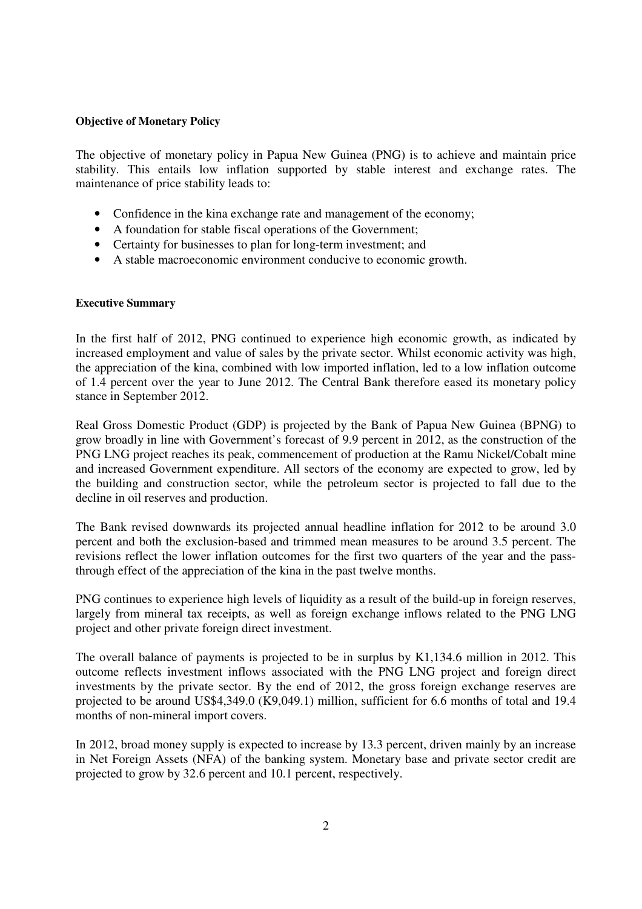## **Objective of Monetary Policy**

The objective of monetary policy in Papua New Guinea (PNG) is to achieve and maintain price stability. This entails low inflation supported by stable interest and exchange rates. The maintenance of price stability leads to:

- Confidence in the kina exchange rate and management of the economy;
- A foundation for stable fiscal operations of the Government;
- Certainty for businesses to plan for long-term investment; and
- A stable macroeconomic environment conducive to economic growth.

## **Executive Summary**

In the first half of 2012, PNG continued to experience high economic growth, as indicated by increased employment and value of sales by the private sector. Whilst economic activity was high, the appreciation of the kina, combined with low imported inflation, led to a low inflation outcome of 1.4 percent over the year to June 2012. The Central Bank therefore eased its monetary policy stance in September 2012.

Real Gross Domestic Product (GDP) is projected by the Bank of Papua New Guinea (BPNG) to grow broadly in line with Government's forecast of 9.9 percent in 2012, as the construction of the PNG LNG project reaches its peak, commencement of production at the Ramu Nickel/Cobalt mine and increased Government expenditure. All sectors of the economy are expected to grow, led by the building and construction sector, while the petroleum sector is projected to fall due to the decline in oil reserves and production.

The Bank revised downwards its projected annual headline inflation for 2012 to be around 3.0 percent and both the exclusion-based and trimmed mean measures to be around 3.5 percent. The revisions reflect the lower inflation outcomes for the first two quarters of the year and the passthrough effect of the appreciation of the kina in the past twelve months.

PNG continues to experience high levels of liquidity as a result of the build-up in foreign reserves, largely from mineral tax receipts, as well as foreign exchange inflows related to the PNG LNG project and other private foreign direct investment.

The overall balance of payments is projected to be in surplus by K1,134.6 million in 2012. This outcome reflects investment inflows associated with the PNG LNG project and foreign direct investments by the private sector. By the end of 2012, the gross foreign exchange reserves are projected to be around US\$4,349.0 (K9,049.1) million, sufficient for 6.6 months of total and 19.4 months of non-mineral import covers.

In 2012, broad money supply is expected to increase by 13.3 percent, driven mainly by an increase in Net Foreign Assets (NFA) of the banking system. Monetary base and private sector credit are projected to grow by 32.6 percent and 10.1 percent, respectively.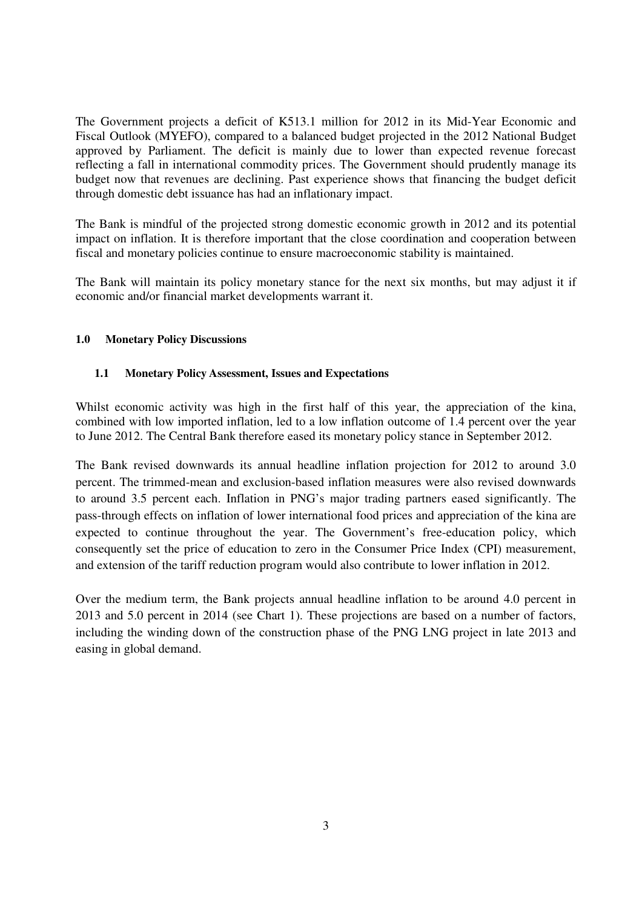The Government projects a deficit of K513.1 million for 2012 in its Mid-Year Economic and Fiscal Outlook (MYEFO), compared to a balanced budget projected in the 2012 National Budget approved by Parliament. The deficit is mainly due to lower than expected revenue forecast reflecting a fall in international commodity prices. The Government should prudently manage its budget now that revenues are declining. Past experience shows that financing the budget deficit through domestic debt issuance has had an inflationary impact.

The Bank is mindful of the projected strong domestic economic growth in 2012 and its potential impact on inflation. It is therefore important that the close coordination and cooperation between fiscal and monetary policies continue to ensure macroeconomic stability is maintained.

The Bank will maintain its policy monetary stance for the next six months, but may adjust it if economic and/or financial market developments warrant it.

# **1.0 Monetary Policy Discussions**

# **1.1 Monetary Policy Assessment, Issues and Expectations**

Whilst economic activity was high in the first half of this year, the appreciation of the kina, combined with low imported inflation, led to a low inflation outcome of 1.4 percent over the year to June 2012. The Central Bank therefore eased its monetary policy stance in September 2012.

The Bank revised downwards its annual headline inflation projection for 2012 to around 3.0 percent. The trimmed-mean and exclusion-based inflation measures were also revised downwards to around 3.5 percent each. Inflation in PNG's major trading partners eased significantly. The pass-through effects on inflation of lower international food prices and appreciation of the kina are expected to continue throughout the year. The Government's free-education policy, which consequently set the price of education to zero in the Consumer Price Index (CPI) measurement, and extension of the tariff reduction program would also contribute to lower inflation in 2012.

Over the medium term, the Bank projects annual headline inflation to be around 4.0 percent in 2013 and 5.0 percent in 2014 (see Chart 1). These projections are based on a number of factors, including the winding down of the construction phase of the PNG LNG project in late 2013 and easing in global demand.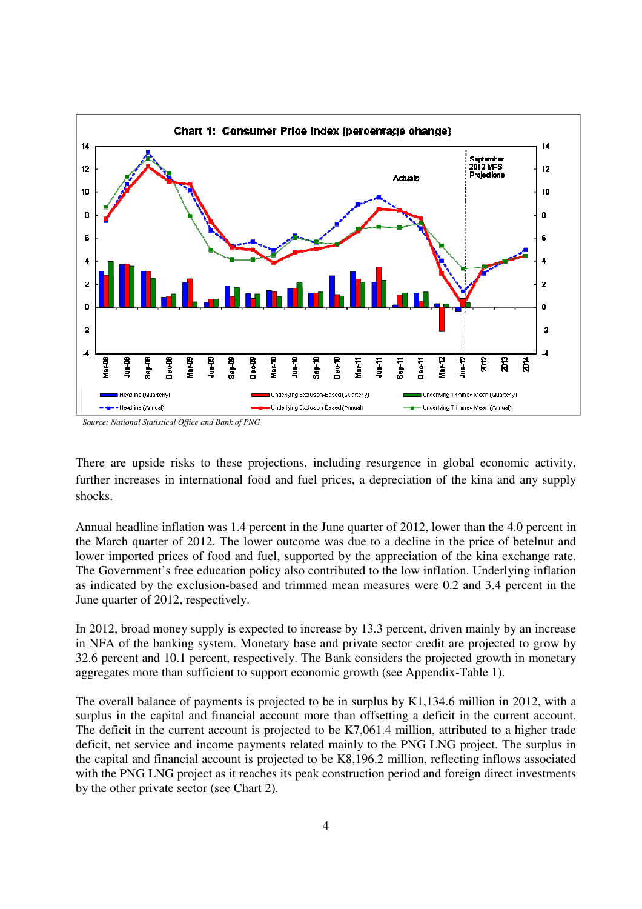

*Source: National Statistical Office and Bank of PNG*

There are upside risks to these projections, including resurgence in global economic activity, further increases in international food and fuel prices, a depreciation of the kina and any supply shocks.

Annual headline inflation was 1.4 percent in the June quarter of 2012, lower than the 4.0 percent in the March quarter of 2012. The lower outcome was due to a decline in the price of betelnut and lower imported prices of food and fuel, supported by the appreciation of the kina exchange rate. The Government's free education policy also contributed to the low inflation. Underlying inflation as indicated by the exclusion-based and trimmed mean measures were 0.2 and 3.4 percent in the June quarter of 2012, respectively.

In 2012, broad money supply is expected to increase by 13.3 percent, driven mainly by an increase in NFA of the banking system. Monetary base and private sector credit are projected to grow by 32.6 percent and 10.1 percent, respectively. The Bank considers the projected growth in monetary aggregates more than sufficient to support economic growth (see Appendix-Table 1).

The overall balance of payments is projected to be in surplus by K1,134.6 million in 2012, with a surplus in the capital and financial account more than offsetting a deficit in the current account. The deficit in the current account is projected to be K7,061.4 million, attributed to a higher trade deficit, net service and income payments related mainly to the PNG LNG project. The surplus in the capital and financial account is projected to be K8,196.2 million, reflecting inflows associated with the PNG LNG project as it reaches its peak construction period and foreign direct investments by the other private sector (see Chart 2).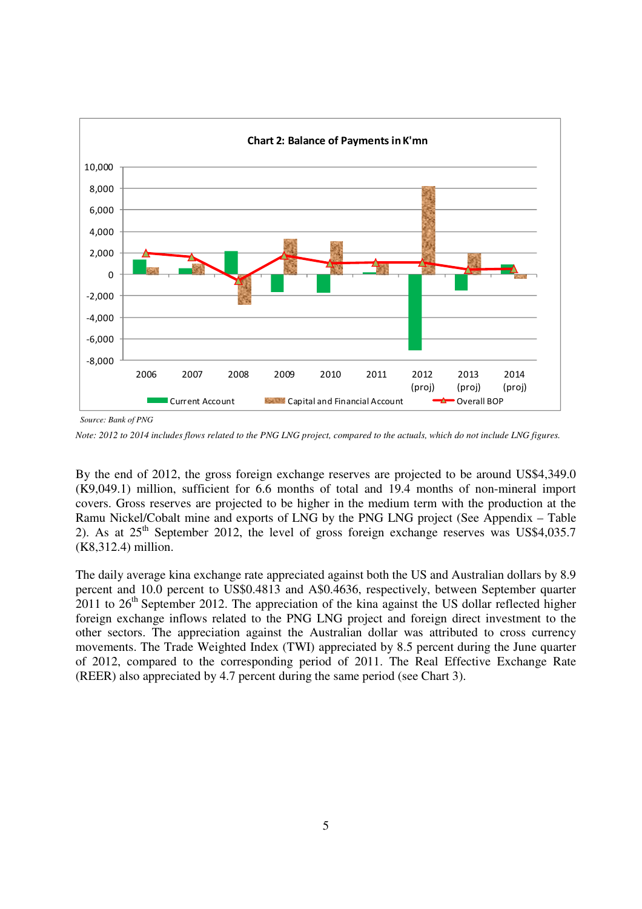

*Source: Bank of PNG* 

*Note: 2012 to 2014 includes flows related to the PNG LNG project, compared to the actuals, which do not include LNG figures.* 

By the end of 2012, the gross foreign exchange reserves are projected to be around US\$4,349.0 (K9,049.1) million, sufficient for 6.6 months of total and 19.4 months of non-mineral import covers. Gross reserves are projected to be higher in the medium term with the production at the Ramu Nickel/Cobalt mine and exports of LNG by the PNG LNG project (See Appendix – Table 2). As at  $25<sup>th</sup>$  September 2012, the level of gross foreign exchange reserves was US\$4,035.7 (K8,312.4) million.

The daily average kina exchange rate appreciated against both the US and Australian dollars by 8.9 percent and 10.0 percent to US\$0.4813 and A\$0.4636, respectively, between September quarter 2011 to  $26<sup>th</sup>$  September 2012. The appreciation of the kina against the US dollar reflected higher foreign exchange inflows related to the PNG LNG project and foreign direct investment to the other sectors. The appreciation against the Australian dollar was attributed to cross currency movements. The Trade Weighted Index (TWI) appreciated by 8.5 percent during the June quarter of 2012, compared to the corresponding period of 2011. The Real Effective Exchange Rate (REER) also appreciated by 4.7 percent during the same period (see Chart 3).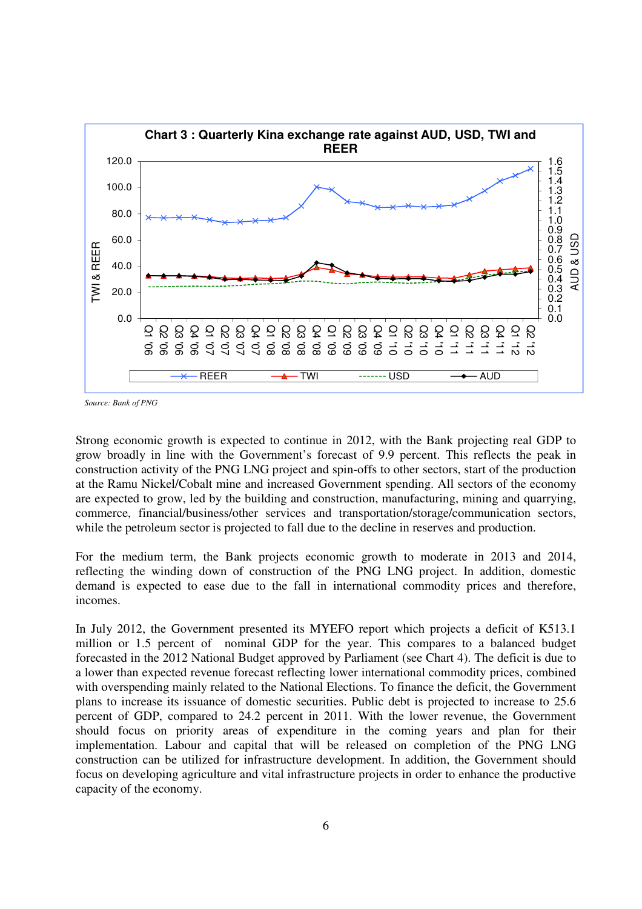

*Source: Bank of PNG* 

Strong economic growth is expected to continue in 2012, with the Bank projecting real GDP to grow broadly in line with the Government's forecast of 9.9 percent. This reflects the peak in construction activity of the PNG LNG project and spin-offs to other sectors, start of the production at the Ramu Nickel/Cobalt mine and increased Government spending. All sectors of the economy are expected to grow, led by the building and construction, manufacturing, mining and quarrying, commerce, financial/business/other services and transportation/storage/communication sectors, while the petroleum sector is projected to fall due to the decline in reserves and production.

For the medium term, the Bank projects economic growth to moderate in 2013 and 2014, reflecting the winding down of construction of the PNG LNG project. In addition, domestic demand is expected to ease due to the fall in international commodity prices and therefore, incomes.

In July 2012, the Government presented its MYEFO report which projects a deficit of K513.1 million or 1.5 percent of nominal GDP for the year. This compares to a balanced budget forecasted in the 2012 National Budget approved by Parliament (see Chart 4). The deficit is due to a lower than expected revenue forecast reflecting lower international commodity prices, combined with overspending mainly related to the National Elections. To finance the deficit, the Government plans to increase its issuance of domestic securities. Public debt is projected to increase to 25.6 percent of GDP, compared to 24.2 percent in 2011. With the lower revenue, the Government should focus on priority areas of expenditure in the coming years and plan for their implementation. Labour and capital that will be released on completion of the PNG LNG construction can be utilized for infrastructure development. In addition, the Government should focus on developing agriculture and vital infrastructure projects in order to enhance the productive capacity of the economy.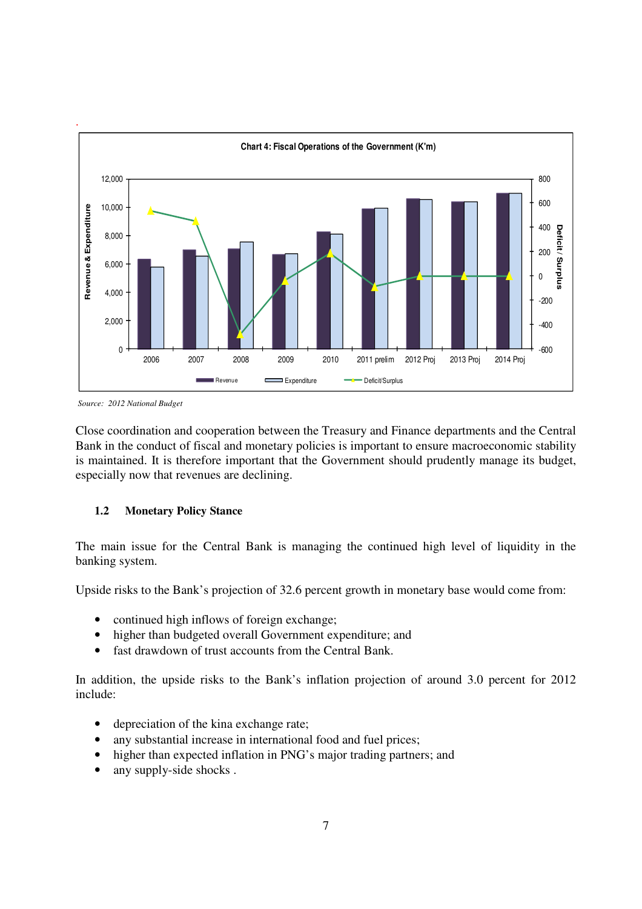

*Source: 2012 National Budget* 

Close coordination and cooperation between the Treasury and Finance departments and the Central Bank in the conduct of fiscal and monetary policies is important to ensure macroeconomic stability is maintained. It is therefore important that the Government should prudently manage its budget, especially now that revenues are declining.

# **1.2 Monetary Policy Stance**

The main issue for the Central Bank is managing the continued high level of liquidity in the banking system.

Upside risks to the Bank's projection of 32.6 percent growth in monetary base would come from:

- continued high inflows of foreign exchange;
- higher than budgeted overall Government expenditure; and
- fast drawdown of trust accounts from the Central Bank.

In addition, the upside risks to the Bank's inflation projection of around 3.0 percent for 2012 include:

- depreciation of the kina exchange rate;
- any substantial increase in international food and fuel prices;
- higher than expected inflation in PNG's major trading partners; and
- any supply-side shocks.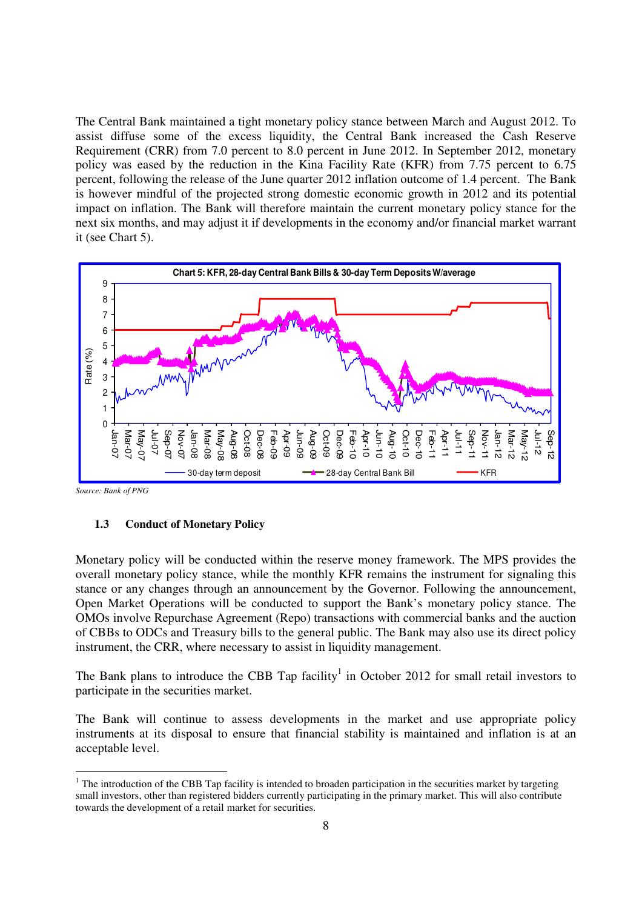The Central Bank maintained a tight monetary policy stance between March and August 2012. To assist diffuse some of the excess liquidity, the Central Bank increased the Cash Reserve Requirement (CRR) from 7.0 percent to 8.0 percent in June 2012. In September 2012, monetary policy was eased by the reduction in the Kina Facility Rate (KFR) from 7.75 percent to 6.75 percent, following the release of the June quarter 2012 inflation outcome of 1.4 percent. The Bank is however mindful of the projected strong domestic economic growth in 2012 and its potential impact on inflation. The Bank will therefore maintain the current monetary policy stance for the next six months, and may adjust it if developments in the economy and/or financial market warrant it (see Chart 5).



*Source: Bank of PNG* 

# **1.3 Conduct of Monetary Policy**

Monetary policy will be conducted within the reserve money framework. The MPS provides the overall monetary policy stance, while the monthly KFR remains the instrument for signaling this stance or any changes through an announcement by the Governor. Following the announcement, Open Market Operations will be conducted to support the Bank's monetary policy stance. The OMOs involve Repurchase Agreement (Repo) transactions with commercial banks and the auction of CBBs to ODCs and Treasury bills to the general public. The Bank may also use its direct policy instrument, the CRR, where necessary to assist in liquidity management.

The Bank plans to introduce the CBB Tap facility<sup>1</sup> in October 2012 for small retail investors to participate in the securities market.

The Bank will continue to assess developments in the market and use appropriate policy instruments at its disposal to ensure that financial stability is maintained and inflation is at an acceptable level.

The introduction of the CBB Tap facility is intended to broaden participation in the securities market by targeting <sup>1</sup> small investors, other than registered bidders currently participating in the primary market. This will also contribute towards the development of a retail market for securities.